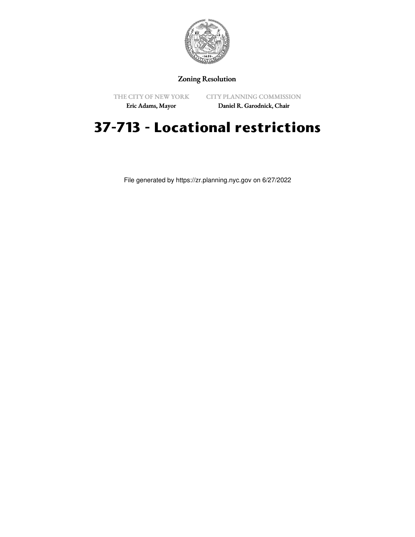

## Zoning Resolution

THE CITY OF NEW YORK Eric Adams, Mayor

CITY PLANNING COMMISSION

Daniel R. Garodnick, Chair

## **37-713 - Locational restrictions**

File generated by https://zr.planning.nyc.gov on 6/27/2022